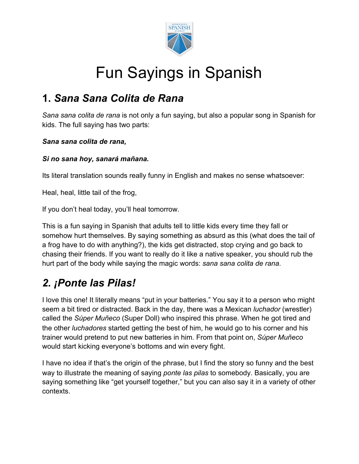

# Fun Sayings in Spanish

### **1.** *Sana Sana Colita de Rana*

*Sana sana colita de rana* is not only a fun saying, but also a popular [song in Spanish for](https://www.spanish.academy/blog/spanish-songs-kids/) [kids](https://www.spanish.academy/blog/spanish-songs-kids/). The full saying has two parts:

#### *Sana sana colita de rana,*

#### *Si no sana hoy, sanará mañana.*

Its literal translation sounds really funny in English and makes no sense whatsoever:

Heal, heal, little tail of the frog,

If you don't heal today, you'll heal tomorrow.

This is a fun saying in Spanish that adults tell to little kids every time they fall or somehow hurt themselves. By saying something as absurd as this (what does the tail of a frog have to do with anything?), the kids get distracted, stop crying and go back to chasing their friends. If you want to really do it like a native speaker, you should rub the hurt part of the body while saying the magic words: *sana sana colita de rana*.

# *2. ¡Ponte las Pilas!*

I love this one! It literally means "put in your batteries." You say it to a person who might seem a bit tired or distracted. Back in the day, there was a Mexican *luchador* (wrestler) called the *Súper Muñeco* (Super Doll) who inspired this phrase. When he got tired and the other *luchadores* started getting the best of him, he would go to his corner and his trainer would pretend to put new batteries in him. From that point on, *Súper Muñeco* would start kicking everyone's bottoms and win every fight.

I have no idea if that's the origin of the phrase, but I find the story so funny and the best way to illustrate the meaning of saying *ponte las pilas* to somebody. Basically, you are saying something like "get yourself together," but you can also say it in a variety of other contexts.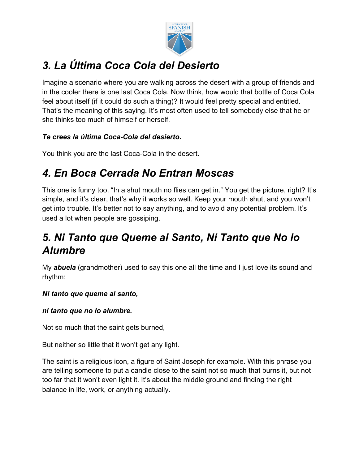

# *3. La Última Coca Cola del Desierto*

Imagine a scenario where you are walking across the desert with a group of friends and in the cooler there is one last Coca Cola. Now think, how would that bottle of Coca Cola feel about itself (if it could do such a thing)? It would feel pretty special and entitled. That's the meaning of this saying. It's most often used to tell somebody else that he or she thinks too much of himself or herself.

#### *Te crees la última Coca-Cola del desierto.*

You think you are the last Coca-Cola in the desert.

# *4. En Boca Cerrada No Entran Moscas*

This one is funny too. "In a shut mouth no flies can get in." You get the picture, right? It's simple, and it's clear, that's why it works so well. Keep your mouth shut, and you won't get into trouble. It's better not to say anything, and to avoid any potential problem. It's used a lot when people are gossiping.

## *5. Ni Tanto que Queme al Santo, Ni Tanto que No lo Alumbre*

My *abuela* (grandmother) used to say this one all the time and I just love its sound and rhythm:

#### *Ni tanto que queme al santo,*

#### *ni tanto que no lo alumbre.*

Not so much that the saint gets burned,

But neither so little that it won't get any light.

The saint is a religious icon, a figure of Saint Joseph for example. With this phrase you are telling someone to put a candle close to the saint not so much that burns it, but not too far that it won't even light it. It's about the middle ground and finding the right balance in life, work, or anything actually.